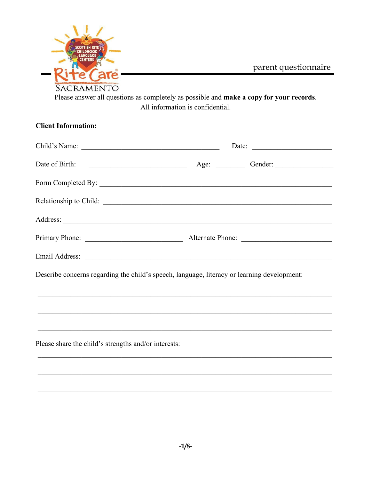

parent questionnaire

Please answer all questions as completely as possible and make a copy for your records. All information is confidential.

| <b>Client Information:</b>                                                                  |  |                       |
|---------------------------------------------------------------------------------------------|--|-----------------------|
| Child's Name:                                                                               |  | Date: $\qquad \qquad$ |
|                                                                                             |  |                       |
|                                                                                             |  |                       |
| Relationship to Child:                                                                      |  |                       |
|                                                                                             |  |                       |
|                                                                                             |  |                       |
|                                                                                             |  |                       |
| Describe concerns regarding the child's speech, language, literacy or learning development: |  |                       |
|                                                                                             |  |                       |
|                                                                                             |  |                       |
|                                                                                             |  |                       |
| Please share the child's strengths and/or interests:                                        |  |                       |
|                                                                                             |  |                       |
|                                                                                             |  |                       |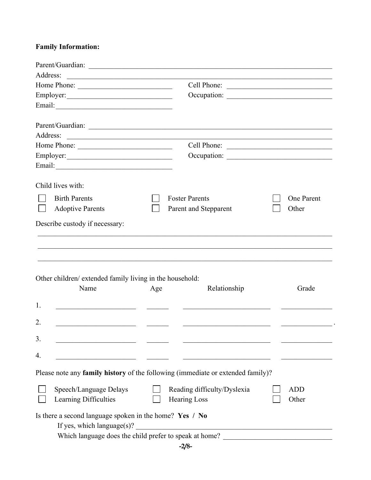# **Family Information:**

| Address: | <u> 1989 - Andrea Barbara, poeta espainiar político e a contrar a contrar a contrar a contrar a contrar a contra</u>                            |     |                                                                                 |                     |
|----------|-------------------------------------------------------------------------------------------------------------------------------------------------|-----|---------------------------------------------------------------------------------|---------------------|
|          | Home Phone:                                                                                                                                     |     | Cell Phone:                                                                     |                     |
|          |                                                                                                                                                 |     |                                                                                 |                     |
|          |                                                                                                                                                 |     |                                                                                 |                     |
|          |                                                                                                                                                 |     |                                                                                 |                     |
|          |                                                                                                                                                 |     |                                                                                 |                     |
|          | Home Phone:                                                                                                                                     |     | Cell Phone:                                                                     |                     |
|          |                                                                                                                                                 |     |                                                                                 |                     |
|          |                                                                                                                                                 |     |                                                                                 |                     |
|          | Child lives with:                                                                                                                               |     |                                                                                 |                     |
|          | <b>Birth Parents</b>                                                                                                                            |     | <b>Foster Parents</b>                                                           | <b>One Parent</b>   |
|          | <b>Adoptive Parents</b>                                                                                                                         |     | Parent and Stepparent                                                           | Other               |
|          | Other children/ extended family living in the household:<br>Name                                                                                | Age | Relationship                                                                    | Grade               |
| 1.       |                                                                                                                                                 |     |                                                                                 |                     |
| 2.       | <u> 1990 - Johann Barbara, martxa al</u>                                                                                                        |     |                                                                                 |                     |
| 3.       |                                                                                                                                                 |     |                                                                                 |                     |
| 4.       |                                                                                                                                                 |     |                                                                                 |                     |
|          |                                                                                                                                                 |     | Please note any family history of the following (immediate or extended family)? |                     |
|          | Speech/Language Delays<br>Learning Difficulties                                                                                                 |     | Reading difficulty/Dyslexia<br><b>Hearing Loss</b>                              | <b>ADD</b><br>Other |
|          | Is there a second language spoken in the home? Yes / No<br>If yes, which language(s)?<br>Which language does the child prefer to speak at home? |     |                                                                                 |                     |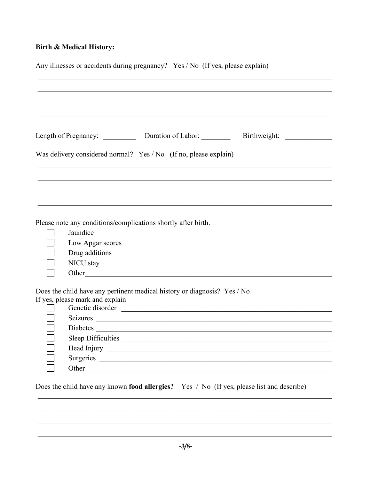## **Birth & Medical History:**

| Any illnesses or accidents during pregnancy? Yes / No (If yes, please explain) |                                                                                                                                                                                      |  |  |  |
|--------------------------------------------------------------------------------|--------------------------------------------------------------------------------------------------------------------------------------------------------------------------------------|--|--|--|
|                                                                                | Length of Pregnancy: Duration of Labor: Birthweight:                                                                                                                                 |  |  |  |
|                                                                                | Was delivery considered normal? Yes / No (If no, please explain)                                                                                                                     |  |  |  |
|                                                                                |                                                                                                                                                                                      |  |  |  |
|                                                                                | Please note any conditions/complications shortly after birth.<br>Jaundice<br>Low Apgar scores<br>Drug additions<br>NICU stay<br>Other                                                |  |  |  |
|                                                                                | Does the child have any pertinent medical history or diagnosis? Yes / No<br>If yes, please mark and explain<br>Seizures <u>and a communication</u><br>Diabetes<br>Sleep Difficulties |  |  |  |
|                                                                                | Does the child have any known food allergies? Yes / No (If yes, please list and describe)                                                                                            |  |  |  |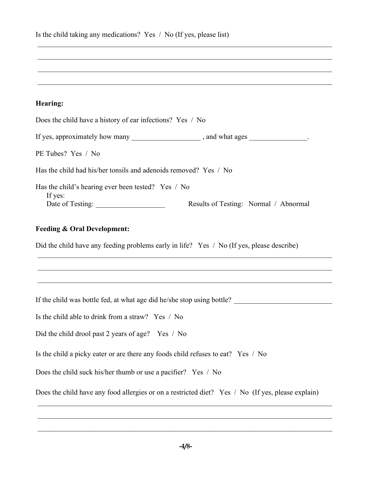| Is the child taking any medications? Yes $\land$ No (If yes, please list) |  |
|---------------------------------------------------------------------------|--|
|---------------------------------------------------------------------------|--|

## **Hearing:**

 $\_$  , and the set of the set of the set of the set of the set of the set of the set of the set of the set of the set of the set of the set of the set of the set of the set of the set of the set of the set of the set of th

\_\_\_\_\_\_\_\_\_\_\_\_\_\_\_\_\_\_\_\_\_\_\_\_\_\_\_\_\_\_\_\_\_\_\_\_\_\_\_\_\_\_\_\_\_\_\_\_\_\_\_\_\_\_\_\_\_\_\_\_\_\_\_\_\_\_\_\_\_\_\_\_\_\_\_\_\_\_\_\_\_

\_\_\_\_\_\_\_\_\_\_\_\_\_\_\_\_\_\_\_\_\_\_\_\_\_\_\_\_\_\_\_\_\_\_\_\_\_\_\_\_\_\_\_\_\_\_\_\_\_\_\_\_\_\_\_\_\_\_\_\_\_\_\_\_\_\_\_\_\_\_\_\_\_\_\_\_\_\_\_\_\_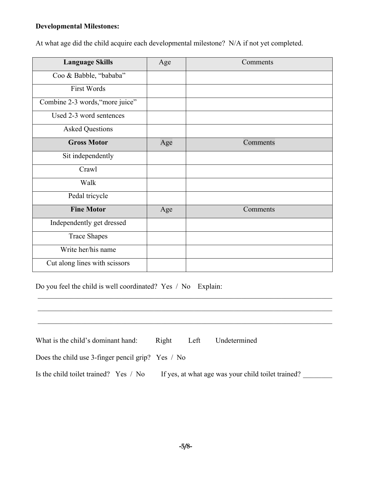## **Developmental Milestones:**

At what age did the child acquire each developmental milestone? N/A if not yet completed.

| <b>Language Skills</b>          | Age | Comments |
|---------------------------------|-----|----------|
| Coo & Babble, "bababa"          |     |          |
| <b>First Words</b>              |     |          |
| Combine 2-3 words, "more juice" |     |          |
| Used 2-3 word sentences         |     |          |
| <b>Asked Questions</b>          |     |          |
| <b>Gross Motor</b>              | Age | Comments |
| Sit independently               |     |          |
| Crawl                           |     |          |
| Walk                            |     |          |
| Pedal tricycle                  |     |          |
| <b>Fine Motor</b>               | Age | Comments |
| Independently get dressed       |     |          |
| <b>Trace Shapes</b>             |     |          |
| Write her/his name              |     |          |
| Cut along lines with scissors   |     |          |

Do you feel the child is well coordinated? Yes / No Explain:

| What is the child's dominant hand:                | Right | Left | Undetermined                                       |  |
|---------------------------------------------------|-------|------|----------------------------------------------------|--|
| Does the child use 3-finger pencil grip? Yes / No |       |      |                                                    |  |
| Is the child toilet trained? Yes / No             |       |      | If yes, at what age was your child toilet trained? |  |

\_\_\_\_\_\_\_\_\_\_\_\_\_\_\_\_\_\_\_\_\_\_\_\_\_\_\_\_\_\_\_\_\_\_\_\_\_\_\_\_\_\_\_\_\_\_\_\_\_\_\_\_\_\_\_\_\_\_\_\_\_\_\_\_\_\_\_\_\_\_\_\_\_\_\_\_\_\_\_\_\_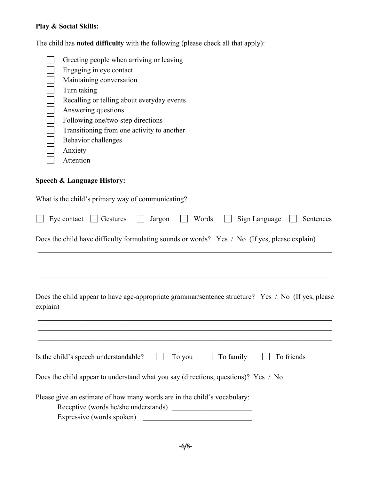# **Play & Social Skills:**

The child has **noted difficulty** with the following (please check all that apply):

|          | Greeting people when arriving or leaving<br>Engaging in eye contact<br>Maintaining conversation<br>Turn taking<br>Recalling or telling about everyday events<br>Answering questions<br>Following one/two-step directions<br>Transitioning from one activity to another<br>Behavior challenges<br>Anxiety<br>Attention |
|----------|-----------------------------------------------------------------------------------------------------------------------------------------------------------------------------------------------------------------------------------------------------------------------------------------------------------------------|
|          | <b>Speech &amp; Language History:</b>                                                                                                                                                                                                                                                                                 |
|          | What is the child's primary way of communicating?                                                                                                                                                                                                                                                                     |
|          | Sign Language<br>Words<br>Eye contact<br>  Gestures<br>Jargon<br>Sentences                                                                                                                                                                                                                                            |
|          | Does the child have difficulty formulating sounds or words? Yes / No (If yes, please explain)                                                                                                                                                                                                                         |
|          |                                                                                                                                                                                                                                                                                                                       |
| explain) | Does the child appear to have age-appropriate grammar/sentence structure? Yes / No (If yes, please                                                                                                                                                                                                                    |
|          | To family<br>Is the child's speech understandable?<br>To friends<br>To you                                                                                                                                                                                                                                            |
|          | Does the child appear to understand what you say (directions, questions)? Yes / No                                                                                                                                                                                                                                    |
|          | Please give an estimate of how many words are in the child's vocabulary:<br>Receptive (words he/she understands)<br><u> 1980 - Jan Barat, martin a</u><br>Expressive (words spoken)                                                                                                                                   |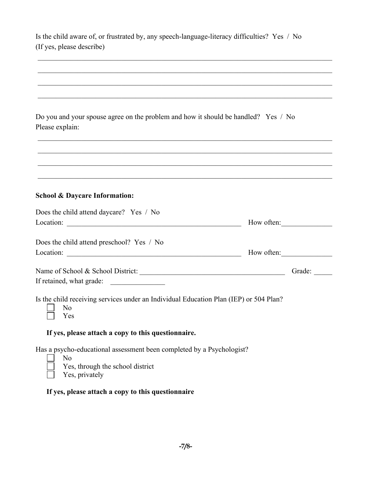| Is the child aware of, or frustrated by, any speech-language-literacy difficulties? Yes / No |  |
|----------------------------------------------------------------------------------------------|--|
| (If yes, please describe)                                                                    |  |

 $\_$  , and the set of the set of the set of the set of the set of the set of the set of the set of the set of the set of the set of the set of the set of the set of the set of the set of the set of the set of the set of th

| Do you and your spouse agree on the problem and how it should be handled? Yes / No |  |
|------------------------------------------------------------------------------------|--|
| Please explain:                                                                    |  |

#### **School & Daycare Information:**

| Does the child attend daycare? Yes / No                                                             |            |        |
|-----------------------------------------------------------------------------------------------------|------------|--------|
| Location:                                                                                           | How often: |        |
| Does the child attend preschool? Yes / No                                                           |            |        |
| Location:                                                                                           | How often: |        |
| Name of School & School District:                                                                   |            | Grade: |
| If retained, what grade:                                                                            |            |        |
| Is the child receiving services under an Individual Education Plan (IEP) or 504 Plan?<br>No.<br>Yes |            |        |

 $\_$  , and the set of the set of the set of the set of the set of the set of the set of the set of the set of the set of the set of the set of the set of the set of the set of the set of the set of the set of the set of th

#### **If yes, please attach a copy to this questionnaire.**

Has a psycho-educational assessment been completed by a Psychologist?

- $\Box$ No
	- Yes, through the school district
	- Yes, privately

## **If yes, please attach a copy to this questionnaire**